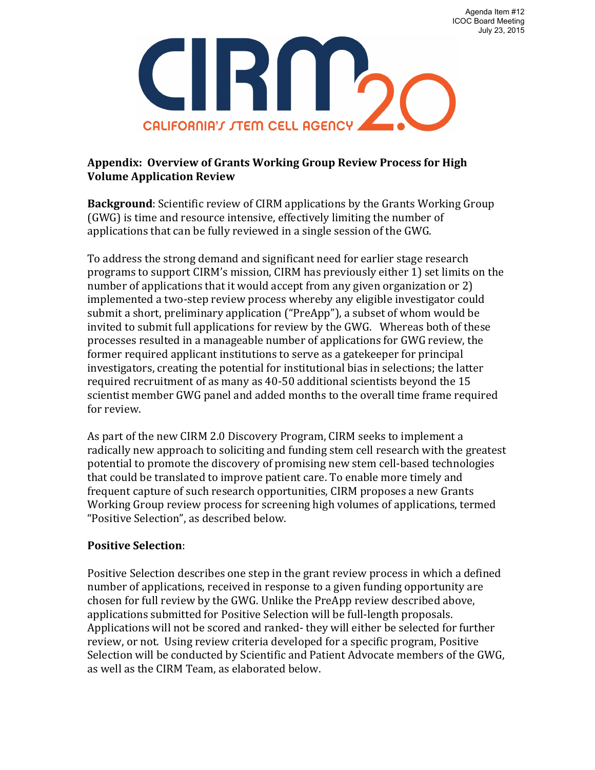Agenda Item #12 ICOC Board Meeting July 23, 2015



## Appendix: Overview of Grants Working Group Review Process for High **Volume Application Review**

**Background**: Scientific review of CIRM applications by the Grants Working Group (GWG) is time and resource intensive, effectively limiting the number of applications that can be fully reviewed in a single session of the GWG.

To address the strong demand and significant need for earlier stage research programs to support CIRM's mission, CIRM has previously either 1) set limits on the number of applications that it would accept from any given organization or 2) implemented a two-step review process whereby any eligible investigator could submit a short, preliminary application ("PreApp"), a subset of whom would be invited to submit full applications for review by the GWG. Whereas both of these processes resulted in a manageable number of applications for GWG review, the former required applicant institutions to serve as a gatekeeper for principal investigators, creating the potential for institutional bias in selections; the latter required recruitment of as many as 40-50 additional scientists beyond the 15 scientist member GWG panel and added months to the overall time frame required for review.

As part of the new CIRM 2.0 Discovery Program, CIRM seeks to implement a radically new approach to soliciting and funding stem cell research with the greatest potential to promote the discovery of promising new stem cell-based technologies that could be translated to improve patient care. To enable more timely and frequent capture of such research opportunities, CIRM proposes a new Grants Working Group review process for screening high volumes of applications, termed "Positive Selection", as described below.

## **Positive Selection**:

Positive Selection describes one step in the grant review process in which a defined number of applications, received in response to a given funding opportunity are chosen for full review by the GWG. Unlike the PreApp review described above, applications submitted for Positive Selection will be full-length proposals. Applications will not be scored and ranked- they will either be selected for further review, or not. Using review criteria developed for a specific program, Positive Selection will be conducted by Scientific and Patient Advocate members of the GWG, as well as the CIRM Team, as elaborated below.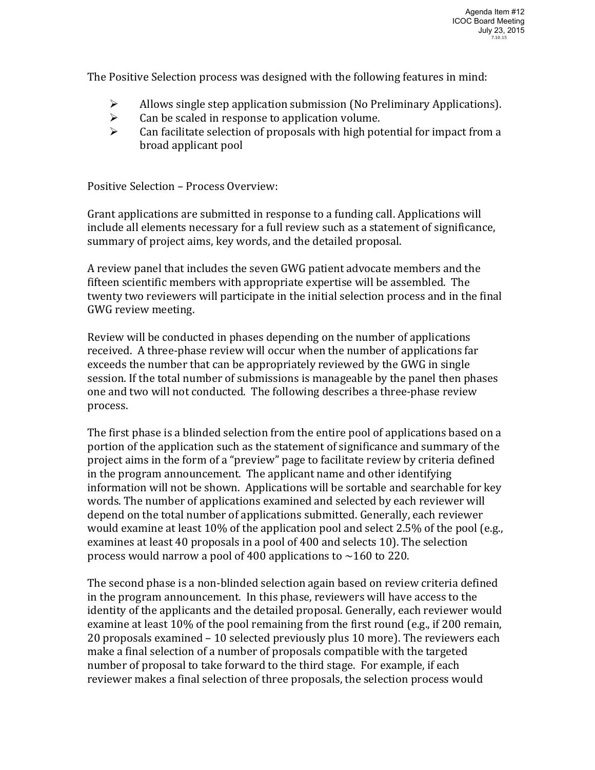The Positive Selection process was designed with the following features in mind:

- $\triangleright$  Allows single step application submission (No Preliminary Applications).
- $\triangleright$  Can be scaled in response to application volume.
- $\triangleright$  Can facilitate selection of proposals with high potential for impact from a broad applicant pool

Positive Selection – Process Overview:

Grant applications are submitted in response to a funding call. Applications will include all elements necessary for a full review such as a statement of significance, summary of project aims, key words, and the detailed proposal.

A review panel that includes the seven GWG patient advocate members and the fifteen scientific members with appropriate expertise will be assembled. The twenty two reviewers will participate in the initial selection process and in the final GWG review meeting.

Review will be conducted in phases depending on the number of applications received. A three-phase review will occur when the number of applications far exceeds the number that can be appropriately reviewed by the GWG in single session. If the total number of submissions is manageable by the panel then phases one and two will not conducted. The following describes a three-phase review process. 

The first phase is a blinded selection from the entire pool of applications based on a portion of the application such as the statement of significance and summary of the project aims in the form of a "preview" page to facilitate review by criteria defined in the program announcement. The applicant name and other identifying information will not be shown. Applications will be sortable and searchable for key words. The number of applications examined and selected by each reviewer will depend on the total number of applications submitted. Generally, each reviewer would examine at least  $10\%$  of the application pool and select 2.5% of the pool (e.g., examines at least 40 proposals in a pool of 400 and selects 10). The selection process would narrow a pool of 400 applications to  $\sim$ 160 to 220.

The second phase is a non-blinded selection again based on review criteria defined in the program announcement. In this phase, reviewers will have access to the identity of the applicants and the detailed proposal. Generally, each reviewer would examine at least  $10\%$  of the pool remaining from the first round (e.g., if 200 remain, 20 proposals examined  $-10$  selected previously plus 10 more). The reviewers each make a final selection of a number of proposals compatible with the targeted number of proposal to take forward to the third stage. For example, if each reviewer makes a final selection of three proposals, the selection process would